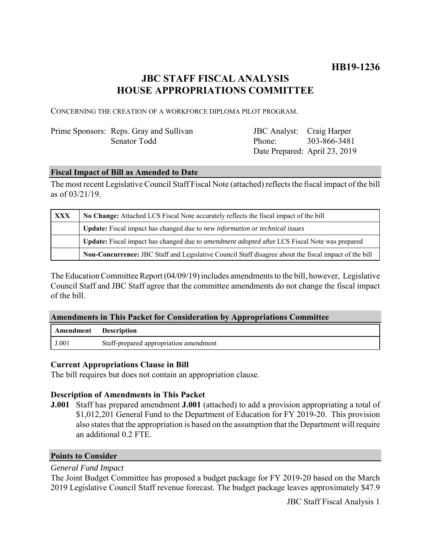# **JBC STAFF FISCAL ANALYSIS HOUSE APPROPRIATIONS COMMITTEE**

CONCERNING THE CREATION OF A WORKFORCE DIPLOMA PILOT PROGRAM.

## Prime Sponsors: Reps. Gray and Sullivan Senator Todd

JBC Analyst: Craig Harper Phone: Date Prepared: April 23, 2019 303-866-3481

### **Fiscal Impact of Bill as Amended to Date**

The most recent Legislative Council Staff Fiscal Note (attached) reflects the fiscal impact of the bill as of 03/21/19.

| <b>XXX</b> | No Change: Attached LCS Fiscal Note accurately reflects the fiscal impact of the bill                 |
|------------|-------------------------------------------------------------------------------------------------------|
|            | Update: Fiscal impact has changed due to new information or technical issues                          |
|            | Update: Fiscal impact has changed due to <i>amendment adopted</i> after LCS Fiscal Note was prepared  |
|            | Non-Concurrence: JBC Staff and Legislative Council Staff disagree about the fiscal impact of the bill |

The Education Committee Report (04/09/19) includes amendments to the bill, however, Legislative Council Staff and JBC Staff agree that the committee amendments do not change the fiscal impact of the bill.

#### **Amendments in This Packet for Consideration by Appropriations Committee**

| Amendment | Description                            |
|-----------|----------------------------------------|
| J.001     | Staff-prepared appropriation amendment |

#### **Current Appropriations Clause in Bill**

The bill requires but does not contain an appropriation clause.

#### **Description of Amendments in This Packet**

**J.001** Staff has prepared amendment **J.001** (attached) to add a provision appropriating a total of \$1,012,201 General Fund to the Department of Education for FY 2019-20. This provision also states that the appropriation is based on the assumption that the Department will require an additional 0.2 FTE.

#### **Points to Consider**

#### *General Fund Impact*

The Joint Budget Committee has proposed a budget package for FY 2019-20 based on the March 2019 Legislative Council Staff revenue forecast. The budget package leaves approximately \$47.9

JBC Staff Fiscal Analysis 1